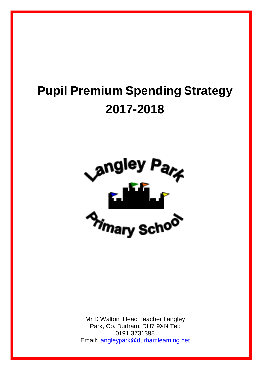# **Pupil Premium Spending Strategy 2017-2018**



Mr D Walton, Head Teacher Langley Park, Co. Durham, DH7 9XN Tel: 0191 3731398 Email: [langleypark@durhamlearning.net](mailto:langleypark@durhamlearning.net)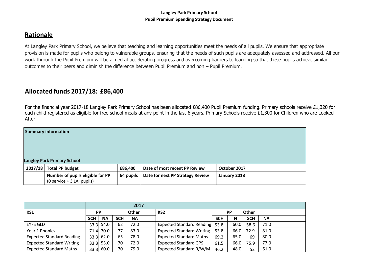## **Rationale**

At Langley Park Primary School, we believe that teaching and learning opportunities meet the needs of all pupils. We ensure that appropriate provision is made for pupils who belong to vulnerable groups, ensuring that the needs of such pupils are adequately assessed and addressed. All our work through the Pupil Premium will be aimed at accelerating progress and overcoming barriers to learning so that these pupils achieve similar outcomes to their peers and diminish the difference between Pupil Premium and non – Pupil Premium.

## **Allocated funds 2017/18: £86,400**

For the financial year 2017-18 Langley Park Primary School has been allocated £86,400 Pupil Premium funding. Primary schools receive £1,320 for each child registered as eligible for free school meals at any point in the last 6 years. Primary Schools receive £1,300 for Children who are Looked After.

| <b>Summary information</b>                                      |           |                                  |              |  |  |  |  |
|-----------------------------------------------------------------|-----------|----------------------------------|--------------|--|--|--|--|
| <b>Langley Park Primary School</b>                              |           |                                  |              |  |  |  |  |
| 2017/18 Total PP budget                                         | £86,400   | Date of most recent PP Review    | October 2017 |  |  |  |  |
| Number of pupils eligible for PP<br>$(0$ service + 3 LA pupils) | 64 pupils | Date for next PP Strategy Review | January 2018 |  |  |  |  |

|                                  |                           | 2017        |                 |           |                                  |            |              |            |           |
|----------------------------------|---------------------------|-------------|-----------------|-----------|----------------------------------|------------|--------------|------------|-----------|
| KS1                              | <b>Other</b><br><b>PP</b> |             | KS <sub>2</sub> |           | <b>PP</b>                        |            | <b>Other</b> |            |           |
|                                  | <b>SCH</b>                | <b>NA</b>   | <b>SCH</b>      | <b>NA</b> |                                  | <b>SCH</b> | N            | <b>SCH</b> | <b>NA</b> |
| <b>EYFS GLD</b>                  |                           | $33.3$ 54.0 | 62              | 72.0      | Expected Standard Reading 53.8   |            | 60.0         | 58.6       | 71.0      |
| Year 1 Phonics                   | 71.4                      | 70.0        | 77              | 83.0      | <b>Expected Standard Writing</b> | 53.8       | 66.0         | 72.9       | 81.0      |
| <b>Expected Standard Reading</b> |                           | 33.3  62.0  | 65              | 78.0      | <b>Expected Standard Maths</b>   | 69.2       | 65.0         | 69         | 80.0      |
| <b>Expected Standard Writing</b> |                           | $33.3$ 53.0 | 70              | 72.0      | <b>Expected Standard GPS</b>     | 61.5       | 66.0         | 75.9       | 77.0      |
| <b>Expected Standard Maths</b>   |                           | 33.3  60.0  | 70              | 79.0      | Expected Standard R/W/M          | 46.2       | 48.0         | 52         | 61.0      |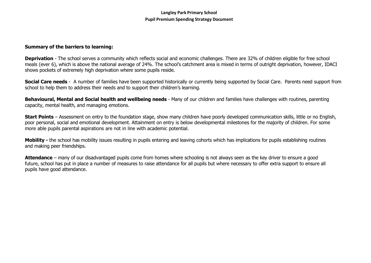#### **Summary of the barriers to learning:**

**Deprivation** - The school serves a community which reflects social and economic challenges. There are 32% of children eligible for free school meals (ever 6), which is above the national average of 24%. The school's catchment area is mixed in terms of outright deprivation, however, IDACI shows pockets of extremely high deprivation where some pupils reside.

**Social Care needs** - A number of families have been supported historically or currently being supported by Social Care. Parents need support from school to help them to address their needs and to support their children's learning.

**Behavioural, Mental and Social health and wellbeing needs** - Many of our children and families have challenges with routines, parenting capacity, mental health, and managing emotions.

**Start Points** – Assessment on entry to the foundation stage, show many children have poorly developed communication skills, little or no English, poor personal, social and emotional development. Attainment on entry is below developmental milestones for the majority of children. For some more able pupils parental aspirations are not in line with academic potential.

**Mobility -** the school has mobility issues resulting in pupils entering and leaving cohorts which has implications for pupils establishing routines and making peer friendships.

**Attendance** – many of our disadvantaged pupils come from homes where schooling is not always seen as the key driver to ensure a good future, school has put in place a number of measures to raise attendance for all pupils but where necessary to offer extra support to ensure all pupils have good attendance.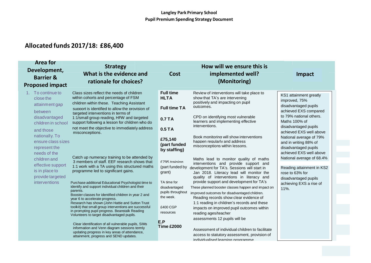| <b>Area for</b><br>Development,<br><b>Barrier &amp;</b><br><b>Proposed impact</b>                                                                                                                                                                                                    | <b>Strategy</b><br>What is the evidence and<br>rationale for choices?                                                                                                                                                                                                                                                                                                                                                                                                                                                                                                                                                                                                                                                                                                                                                                                                                                                                                                                                                                                                                                                                                                                                                   | Cost                                                                                                                                                                                                                                                                                      | How will we ensure this is<br>implemented well?<br>(Monitoring)                                                                                                                                                                                                                                                                                                                                                                                                                                                                                                                                                                                                                                                                                                                                                                                                                                                                                                                                                                                                 | Impact                                                                                                                                                                                                                                                                                                                                                                                                                                 |
|--------------------------------------------------------------------------------------------------------------------------------------------------------------------------------------------------------------------------------------------------------------------------------------|-------------------------------------------------------------------------------------------------------------------------------------------------------------------------------------------------------------------------------------------------------------------------------------------------------------------------------------------------------------------------------------------------------------------------------------------------------------------------------------------------------------------------------------------------------------------------------------------------------------------------------------------------------------------------------------------------------------------------------------------------------------------------------------------------------------------------------------------------------------------------------------------------------------------------------------------------------------------------------------------------------------------------------------------------------------------------------------------------------------------------------------------------------------------------------------------------------------------------|-------------------------------------------------------------------------------------------------------------------------------------------------------------------------------------------------------------------------------------------------------------------------------------------|-----------------------------------------------------------------------------------------------------------------------------------------------------------------------------------------------------------------------------------------------------------------------------------------------------------------------------------------------------------------------------------------------------------------------------------------------------------------------------------------------------------------------------------------------------------------------------------------------------------------------------------------------------------------------------------------------------------------------------------------------------------------------------------------------------------------------------------------------------------------------------------------------------------------------------------------------------------------------------------------------------------------------------------------------------------------|----------------------------------------------------------------------------------------------------------------------------------------------------------------------------------------------------------------------------------------------------------------------------------------------------------------------------------------------------------------------------------------------------------------------------------------|
| 1. To continue to<br>close the<br>attainment gap<br>between<br>disadvantaged<br>children in school<br>and those<br>nationally. To<br>ensure class sizes<br>represent the<br>needs of the<br>children and<br>effective support<br>is in place to<br>provide targeted<br>interventions | Class sizes reflect the needs of children<br>within cohorts and percentage of FSM<br>children within these. Teaching Assistant<br>support is identified to allow the provision of<br>targeted interventions in terms of<br>1:1/small group reading, HFW and targeted<br>support following a lesson for children who do<br>not meet the objective to immediately address<br>misconceptions.<br>Catch up numeracy training to be attended by<br>3 members of staff. EEF research shows that<br>1:1 work with a TA using this structured maths<br>programme led to significant gains.<br>Purchase additional Educational Psychologist time to<br>identify and support individual children and their<br>parents.<br>Booster classes for identified children in year 2 and<br>year 6 to accelerate progress.<br>Research has shown (John Hattie and Sutton Trust<br>toolkit) that small group interventions are successful<br>in prompting pupil progress. Beanstalk Reading<br>Volunteers to target disadvantaged pupils.<br>Clear identification of all vulnerable pupils, SIMs<br>information and Venn diagram sessions termly<br>updating progress in key areas of attendance,<br>attainment, progress and SEND updates. | <b>Full time</b><br><b>HLTA</b><br><b>Full time TA</b><br>0.7 TA<br>0.5TA<br>£75,140<br>(part funded<br>by staffing)<br>£705 training<br>(part funded by<br>grant)<br>TA time for<br>disadvantaged<br>pupils throughout<br>the week.<br>£400 CGP<br>resources<br>E.P<br><b>Time £2000</b> | Review of interventions will take place to<br>show that TA's are intervening<br>positively and impacting on pupil<br>outcomes.<br>CPD on identifying most vulnerable<br>learners and implementing effective<br>interventions.<br>Book monitoring will show interventions<br>happen regularly and address<br>misconceptions within lessons.<br>Maths lead to monitor quality of maths<br>interventions and provide support and<br>development for TA's. Sessions will start in<br>Jan 2018. Literacy lead will monitor the<br>quality of interventions in literacy and<br>provide support and development for TA's<br>These planned booster classes happen and impact on<br>improved outcomes for disadvantaged children.<br>Reading records show clear evidence of<br>1:1 reading in children's records and these<br>impacts on improved pupil outcomes within<br>reading ages/teacher<br>assessments 12 pupils will be<br>Assessment of individual children to facilitate<br>access to statutory assessment, provision of<br>individualised learning programme | KS1 attainment greatly<br>improved, 75%<br>disadvantaged pupils<br>achieved EXS compared<br>to 79% national others.<br>Maths 100% of<br>disadvantaged pupils<br>achieved EXS well above<br>National average of 79%<br>and in writing 88% of<br>disadvantaged pupils<br>achieved EXS well above<br>National average of 68.4%<br>Reading attainment in KS2<br>rose to 63% for<br>disadvantaged pupils<br>achieving EXS a rise of<br>11%. |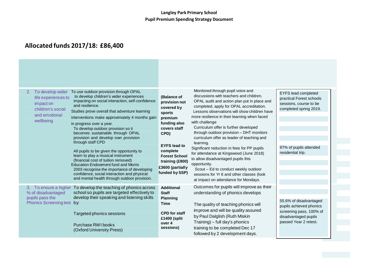| To develop wider<br>2.<br>life experiences to<br>impact on<br>children's social<br>and emotional<br>wellbeing | To use outdoor provision through OPAL<br>to develop children's wider experiences<br>impacting on social interaction, self-confidence<br>and resilience.<br>Studies prove overall that adventure learning<br>interventions make approximately 4 months gain<br>in progress over a year.<br>To develop outdoor provision so it<br>becomes sustainable through OPAL<br>provision and develop own provision<br>through staff CPD<br>All pupils to be given the opportunity to<br>learn to play a musical instrument<br>(financial cost of tuition removed)<br><b>Education Endowment fund and Morris</b><br>2003 recognise the importance of developing<br>confidence, social interaction and physical<br>and mental health through outdoor provision. | (Balance of<br>provision not<br>covered by<br>sports<br>premium<br>funding also<br>covers staff<br>CPD)<br><b>EYFS lead to</b><br>complete<br><b>Forest School</b><br>training (£800)<br>£3600 (partially<br>funded by SSP) | Monitored through pupil voice and<br>discussions with teachers and children.<br>OPAL audit and action plan put in place and<br>completed, apply for OPAL accreditation.<br>Lessons observations will show children have<br>more resilience in their learning when faced<br>with challenge<br>Curriculum offer is further developed<br>through outdoor provision - DHT monitors<br>curriculum offer as leader of teaching and<br>learning.<br>Significant reduction in fees for PP pupils<br>for attendance at Kingswood (June 2018)<br>to allow disadvantaged pupils this<br>opportunity.<br>Scout - Ed to conduct weekly outdoor<br>sessions for Yr 6 and other classes (look<br>at impact on attendance for Mondays. | <b>EYFS lead completed</b><br>practical Forest schools<br>sessions, course to be<br>completed spring 2019.<br>97% of pupils attended<br>residential trip. |
|---------------------------------------------------------------------------------------------------------------|----------------------------------------------------------------------------------------------------------------------------------------------------------------------------------------------------------------------------------------------------------------------------------------------------------------------------------------------------------------------------------------------------------------------------------------------------------------------------------------------------------------------------------------------------------------------------------------------------------------------------------------------------------------------------------------------------------------------------------------------------|-----------------------------------------------------------------------------------------------------------------------------------------------------------------------------------------------------------------------------|------------------------------------------------------------------------------------------------------------------------------------------------------------------------------------------------------------------------------------------------------------------------------------------------------------------------------------------------------------------------------------------------------------------------------------------------------------------------------------------------------------------------------------------------------------------------------------------------------------------------------------------------------------------------------------------------------------------------|-----------------------------------------------------------------------------------------------------------------------------------------------------------|
| % of disadvantaged<br>pupils pass the<br>Phonics Screening test by:                                           | 3. To ensure a higher To develop the teaching of phonics across<br>school so pupils are targeted effectively to<br>develop their speaking and listening skills<br>Targeted phonics sessions                                                                                                                                                                                                                                                                                                                                                                                                                                                                                                                                                        | <b>Additional</b><br><b>Staff</b><br><b>Planning</b><br>Time<br><b>CPD for staff</b><br>£1400 (split                                                                                                                        | Outcomes for pupils will improve as their<br>understanding of phonics develops<br>The quality of teaching phonics will<br>improve and will be quality assured<br>by Paul Dalglish (Ruth Miskin                                                                                                                                                                                                                                                                                                                                                                                                                                                                                                                         | 55.6% of disadvantaged<br>pupils achieved phonics<br>screening pass, 100% of<br>disadvantaged pupils                                                      |
|                                                                                                               | Purchase RWI books<br>(Oxford University Press)                                                                                                                                                                                                                                                                                                                                                                                                                                                                                                                                                                                                                                                                                                    | over 4<br>sessions)                                                                                                                                                                                                         | Training) - full day's phonics<br>training to be completed Dec 17<br>followed by 2 development days.                                                                                                                                                                                                                                                                                                                                                                                                                                                                                                                                                                                                                   | passed Year 2 retest.                                                                                                                                     |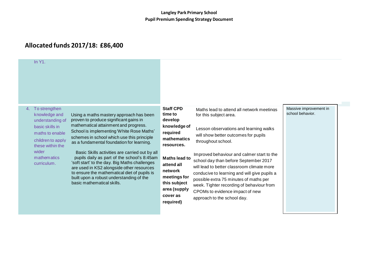| In $Y1$ .                                                                                                                                                                      |                                                                                                                                                                                                                                                                                                                                                                                                                                                                                                                                                                                             |                                                                                                                                                                                                                    |                                                                                                                                                                                                                                                                                                                                                                                                                                                                                                                           |                                            |
|--------------------------------------------------------------------------------------------------------------------------------------------------------------------------------|---------------------------------------------------------------------------------------------------------------------------------------------------------------------------------------------------------------------------------------------------------------------------------------------------------------------------------------------------------------------------------------------------------------------------------------------------------------------------------------------------------------------------------------------------------------------------------------------|--------------------------------------------------------------------------------------------------------------------------------------------------------------------------------------------------------------------|---------------------------------------------------------------------------------------------------------------------------------------------------------------------------------------------------------------------------------------------------------------------------------------------------------------------------------------------------------------------------------------------------------------------------------------------------------------------------------------------------------------------------|--------------------------------------------|
| To strengthen<br>4.<br>knowledge and<br>understanding of<br>basic skills in<br>maths to enable<br>children to apply<br>these within the<br>wider<br>mathematics<br>curriculum. | Using a maths mastery approach has been<br>proven to produce significant gains in<br>mathematical attainment and progress.<br>School is implementing 'White Rose Maths'<br>schemes in school which use this principle<br>as a fundamental foundation for learning.<br>Basic Skills activities are carried out by all<br>pupils daily as part of the school's 8:45am<br>'soft start' to the day. Big Maths challenges<br>are used in KS2 alongside other resources<br>to ensure the mathematical diet of pupils is<br>built upon a robust understanding of the<br>basic mathematical skills. | <b>Staff CPD</b><br>time to<br>develop<br>knowledge of<br>required<br>mathematics<br>resources.<br>Maths lead to<br>attend all<br>network<br>meetings for<br>this subject<br>area (supply<br>cover as<br>required) | Maths lead to attend all network meetings<br>for this subject area.<br>Lesson observations and learning walks<br>will show better outcomes for pupils<br>throughout school.<br>Improved behaviour and calmer start to the<br>school day than before September 2017<br>will lead to better classroom climate more<br>conducive to learning and will give pupils a<br>possible extra 75 minutes of maths per<br>week. Tighter recording of behaviour from<br>CPOMs to evidence impact of new<br>approach to the school day. | Massive improvement in<br>school behavior. |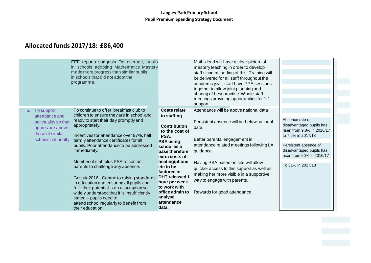| EEF reports suggests On average, pupils<br>in schools adopting Mathematics Mastery<br>made more progress than similar pupils<br>in schools that did not adopt the<br>programme.                                                                                                                                                                                                                                          | Maths lead will have a clear picture of<br>mastery teaching in order to develop<br>staff's understanding of this. Training will<br>be delivered for all staff throughout the<br>academic year, staff have PPA sessions<br>together to allow joint planning and<br>sharing of best practise. Whole staff<br>meetings providing opportunities for 1:1<br>support. |                                                                                                                                                                                   |
|--------------------------------------------------------------------------------------------------------------------------------------------------------------------------------------------------------------------------------------------------------------------------------------------------------------------------------------------------------------------------------------------------------------------------|-----------------------------------------------------------------------------------------------------------------------------------------------------------------------------------------------------------------------------------------------------------------------------------------------------------------------------------------------------------------|-----------------------------------------------------------------------------------------------------------------------------------------------------------------------------------|
| To continue to offer breakfast club to<br>5. To support<br>children to ensure they are in school and<br>attendance and<br>ready to start their day promptly and<br>punctuality so that<br>appropriately.<br>figures are above<br>those of similar<br>Incentives for attendance over 97%, half<br>schools nationally<br>termly attendance certificates for all<br>pupils. Poor attendance to be addressed<br>immediately. | Attendance will be above national data<br>Costs relate<br>to staffing<br>Persistent absence will be below national<br><b>Contribution</b><br>data.<br>to the cost of<br>PSA.<br>Better parental engagement in<br><b>PSA using</b><br>attendance related meetings following LA<br>school as a<br>guidance.<br>base therefore<br>extra costs of                   | Absence rate of<br>disadvantaged pupils has<br>risen from 9.8% in 2016/17<br>to 7.6% in 2017/18<br>Persistent absence of<br>disadvantaged pupils has<br>risen from 50% in 2016/17 |
| Member of staff plus PSA to contact<br>parents to challenge any absence.<br>Gov.uk 2016 - Central to raising standards<br>in education and ensuring all pupils can<br>fulfil their potential is an assumption so<br>widely understood that it is insufficiently<br>stated - pupils need to<br>attend school regularly to benefit from<br>their education.                                                                | heating/phone<br>Having PSA based on site will allow<br>etc to be<br>quicker access to this support as well as<br>factored in.<br>making her more visible in a supportive<br><b>DHT</b> released 1<br>way to engage with parents.<br>hour per week<br>to work with<br>Rewards for good attendance.<br>office admin to<br>analyse<br>attendance<br>data.         | To 31% in 2017/18                                                                                                                                                                 |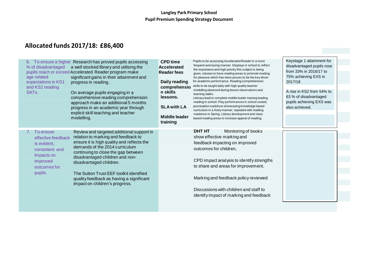| % of disadvantaged<br>age related<br>expectations in KS1<br>and KS2 reading<br>SAT <sub>s.</sub>                        | 6. To ensure a higher Research has proved pupils accessing<br>a well stocked library and utilising the<br>pupils reach or exceed Accelerated Reader program make<br>significant gains in their attainment and<br>progress in reading.<br>On average pupils engaging in a<br>comprehensive reading comprehension<br>approach make an additional 5 months<br>progress in an academic year through<br>explicit skill teaching and teacher<br>modelling. | <b>CPD time</b><br><b>Accelerated</b><br><b>Reader fees</b><br>Daily reading<br>comprehensio<br>n skills<br>lessons.<br><b>SLA with LA</b><br>Middle leader<br>training | Pupils to be accessing Accelerated Reader in a more<br>frequent and taxing manner. Displays in school to reflect<br>the importance and high priority this subject is being<br>given, classes to have reading areas to promote reading<br>for pleasure which has been proven to be the key driver<br>for academic performance. Reading comprehension<br>skills to be taught daily with high quality teacher<br>modelling observed during lesson observations and<br>learning walks.<br>Literacy lead to complete middle leader training leading<br>reading in school. Play performances in school costed,<br>punctuation roadshow showcasing knowledge based<br>curriculum in a lively manner, repeated with reading<br>roadshow in Spring. Library development and class<br>based reading areas to increase appeal of reading. | Keystage 1 attainment for<br>disadvantaged pupils rose<br>from 33% in 2016/17 to<br>75% achieving EXS in<br>2017/18<br>A rise in KS2 from 54% to<br>63 % of disadvantaged<br>pupils achieving EXS was<br>also achieved. |  |
|-------------------------------------------------------------------------------------------------------------------------|------------------------------------------------------------------------------------------------------------------------------------------------------------------------------------------------------------------------------------------------------------------------------------------------------------------------------------------------------------------------------------------------------------------------------------------------------|-------------------------------------------------------------------------------------------------------------------------------------------------------------------------|--------------------------------------------------------------------------------------------------------------------------------------------------------------------------------------------------------------------------------------------------------------------------------------------------------------------------------------------------------------------------------------------------------------------------------------------------------------------------------------------------------------------------------------------------------------------------------------------------------------------------------------------------------------------------------------------------------------------------------------------------------------------------------------------------------------------------------|-------------------------------------------------------------------------------------------------------------------------------------------------------------------------------------------------------------------------|--|
| 7. To ensure<br>effective feedback<br>is evident,<br>consistent and<br>impacts on<br>improved<br>outcomes for<br>pupils | Review and targeted additional support in<br>relation to marking and feedback to<br>ensure it is high quality and reflects the<br>demands of the 2014 curriculum<br>continuing to close the gap between<br>disadvantaged children and non-<br>disadvantaged children.<br>The Sutton Trust EEF toolkit identified<br>quality feedback as having a significant<br>impact on children's progress.                                                       |                                                                                                                                                                         | <b>DHT HT</b><br>Monitoring of books<br>show effective marking and<br>feedback impacting on improved<br>outcomes for children,<br>CPD impact analysis to identify strengths<br>to share and areas for improvement.<br>Marking and feedback policy reviewed<br>Discussions with children and staff to<br>identify impact of marking and feedback                                                                                                                                                                                                                                                                                                                                                                                                                                                                                |                                                                                                                                                                                                                         |  |